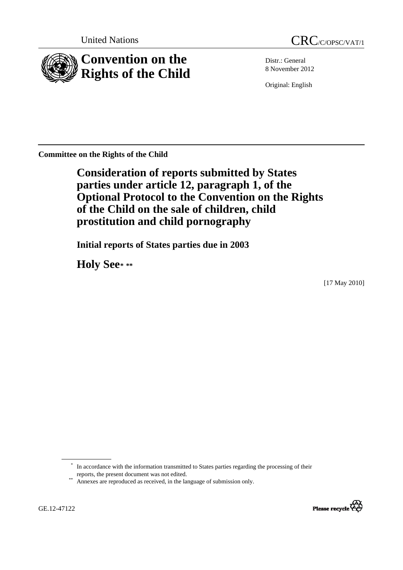

Distr.: General 8 November 2012

Original: English

**Committee on the Rights of the Child** 

 **Consideration of reports submitted by States parties under article 12, paragraph 1, of the Optional Protocol to the Convention on the Rights of the Child on the sale of children, child prostitution and child pornography** 

 **Initial reports of States parties due in 2003** 

 **Holy See[\\*](#page-0-0) [\\*\\*](#page-0-1)**

[17 May 2010]

\* In accordance with the information transmitted to States parties regarding the processing of their



<span id="page-0-1"></span><span id="page-0-0"></span>reports, the present document was not edited.<br>Annexes are reproduced as received, in the language of submission only.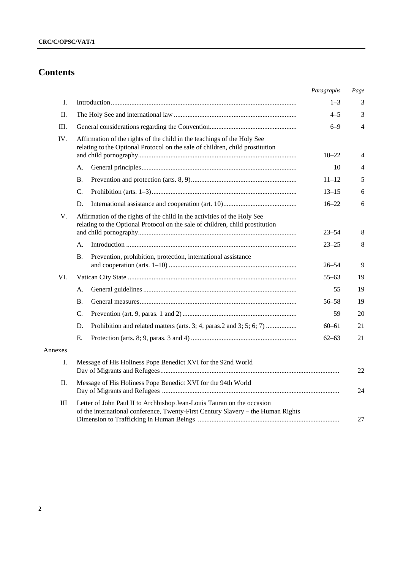# **Contents**

|                |                                                                                                                                                            |                                                                      | Paragraphs | Page           |
|----------------|------------------------------------------------------------------------------------------------------------------------------------------------------------|----------------------------------------------------------------------|------------|----------------|
| Ι.             |                                                                                                                                                            |                                                                      | $1 - 3$    | 3              |
| П.             |                                                                                                                                                            |                                                                      | $4 - 5$    | 3              |
| Ш.             |                                                                                                                                                            |                                                                      | $6 - 9$    | $\overline{4}$ |
| IV.            | Affirmation of the rights of the child in the teachings of the Holy See<br>relating to the Optional Protocol on the sale of children, child prostitution   |                                                                      | $10 - 22$  | 4              |
|                | А.                                                                                                                                                         |                                                                      | 10         | 4              |
|                | В.                                                                                                                                                         |                                                                      | $11 - 12$  | 5              |
|                | C.                                                                                                                                                         |                                                                      | $13 - 15$  | 6              |
|                | D.                                                                                                                                                         |                                                                      | $16 - 22$  | 6              |
| V.             | Affirmation of the rights of the child in the activities of the Holy See<br>relating to the Optional Protocol on the sale of children, child prostitution  |                                                                      | $23 - 54$  | 8              |
|                | А.                                                                                                                                                         |                                                                      | $23 - 25$  | 8              |
|                | B.                                                                                                                                                         | Prevention, prohibition, protection, international assistance        | $26 - 54$  | 9              |
| VI.            |                                                                                                                                                            |                                                                      | $55 - 63$  | 19             |
|                | А.                                                                                                                                                         |                                                                      | 55         | 19             |
|                | <b>B.</b>                                                                                                                                                  |                                                                      | $56 - 58$  | 19             |
|                | C.                                                                                                                                                         |                                                                      | 59         | 20             |
|                | D.                                                                                                                                                         | Prohibition and related matters (arts. 3; 4, paras.2 and 3; 5; 6; 7) | $60 - 61$  | 21             |
|                | Е.                                                                                                                                                         |                                                                      | $62 - 63$  | 21             |
| Annexes        |                                                                                                                                                            |                                                                      |            |                |
| Ι.             | Message of His Holiness Pope Benedict XVI for the 92nd World                                                                                               |                                                                      |            | 22             |
| П.             | Message of His Holiness Pope Benedict XVI for the 94th World                                                                                               |                                                                      | 24         |                |
| $\mathbf{III}$ | Letter of John Paul II to Archbishop Jean-Louis Tauran on the occasion<br>of the international conference, Twenty-First Century Slavery - the Human Rights |                                                                      |            | 27             |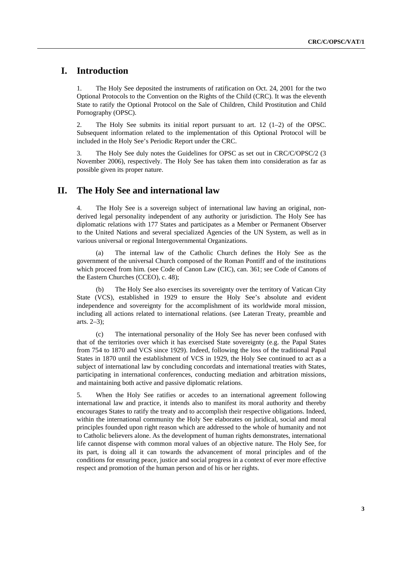### **I. Introduction**

1. The Holy See deposited the instruments of ratification on Oct. 24, 2001 for the two Optional Protocols to the Convention on the Rights of the Child (CRC). It was the eleventh State to ratify the Optional Protocol on the Sale of Children, Child Prostitution and Child Pornography (OPSC).

2. The Holy See submits its initial report pursuant to art.  $12(1-2)$  of the OPSC. Subsequent information related to the implementation of this Optional Protocol will be included in the Holy See's Periodic Report under the CRC.

3. The Holy See duly notes the Guidelines for OPSC as set out in CRC/C/OPSC/2 (3 November 2006), respectively. The Holy See has taken them into consideration as far as possible given its proper nature.

### **II. The Holy See and international law**

4. The Holy See is a sovereign subject of international law having an original, nonderived legal personality independent of any authority or jurisdiction. The Holy See has diplomatic relations with 177 States and participates as a Member or Permanent Observer to the United Nations and several specialized Agencies of the UN System, as well as in various universal or regional Intergovernmental Organizations.

(a) The internal law of the Catholic Church defines the Holy See as the government of the universal Church composed of the Roman Pontiff and of the institutions which proceed from him. (see Code of Canon Law (CIC), can. 361; see Code of Canons of the Eastern Churches (CCEO), c. 48);

(b) The Holy See also exercises its sovereignty over the territory of Vatican City State (VCS), established in 1929 to ensure the Holy See's absolute and evident independence and sovereignty for the accomplishment of its worldwide moral mission, including all actions related to international relations. (see Lateran Treaty, preamble and arts. 2–3);

(c) The international personality of the Holy See has never been confused with that of the territories over which it has exercised State sovereignty (e.g. the Papal States from 754 to 1870 and VCS since 1929). Indeed, following the loss of the traditional Papal States in 1870 until the establishment of VCS in 1929, the Holy See continued to act as a subject of international law by concluding concordats and international treaties with States, participating in international conferences, conducting mediation and arbitration missions, and maintaining both active and passive diplomatic relations.

5. When the Holy See ratifies or accedes to an international agreement following international law and practice, it intends also to manifest its moral authority and thereby encourages States to ratify the treaty and to accomplish their respective obligations. Indeed, within the international community the Holy See elaborates on juridical, social and moral principles founded upon right reason which are addressed to the whole of humanity and not to Catholic believers alone. As the development of human rights demonstrates, international life cannot dispense with common moral values of an objective nature. The Holy See, for its part, is doing all it can towards the advancement of moral principles and of the conditions for ensuring peace, justice and social progress in a context of ever more effective respect and promotion of the human person and of his or her rights.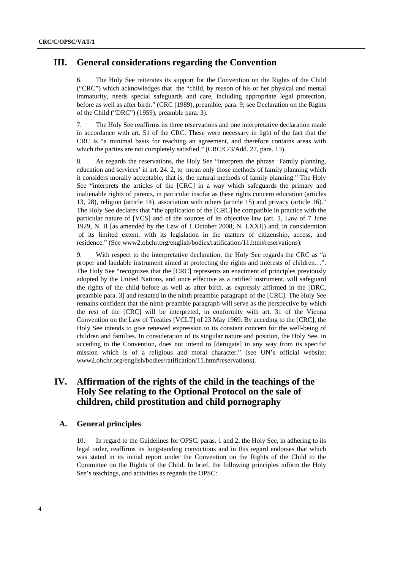# **III. General considerations regarding the Convention**

6. The Holy See reiterates its support for the Convention on the Rights of the Child ("CRC") which acknowledges that the "child, by reason of his or her physical and mental immaturity, needs special safeguards and care, including appropriate legal protection, before as well as after birth." (CRC (1989), preamble, para. 9; see Declaration on the Rights of the Child ("DRC") (1959), preamble para. 3).

7. The Holy See reaffirms its three reservations and one interpretative declaration made in accordance with art. 51 of the CRC. These were necessary in light of the fact that the CRC is "a minimal basis for reaching an agreement, and therefore contains areas with which the parties are not completely satisfied." (CRC/C/3/Add. 27, para. 13).

8. As regards the reservations, the Holy See "interprets the phrase 'Family planning, education and services' in art. 24. 2, to mean only those methods of family planning which it considers morally acceptable, that is, the natural methods of family planning." The Holy See "interprets the articles of the [CRC] in a way which safeguards the primary and inalienable rights of parents, in particular insofar as these rights concern education (articles 13, 28), religion (article 14), association with others (article 15) and privacy (article 16)." The Holy See declares that "the application of the [CRC] be compatible in practice with the particular nature of [VCS] and of the sources of its objective law (art. 1, Law of 7 June 1929, N. II [as amended by the Law of 1 October 2008, N. LXXI]) and, in consideration of its limited extent, with its legislation in the matters of citizenship, access, and residence." (See www2.ohchr.org/english/bodies/ratification/11.htm#reservations).

9. With respect to the interpretative declaration, the Holy See regards the CRC as "a proper and laudable instrument aimed at protecting the rights and interests of children…". The Holy See "recognizes that the [CRC] represents an enactment of principles previously adopted by the United Nations, and once effective as a ratified instrument, will safeguard the rights of the child before as well as after birth, as expressly affirmed in the [DRC, preamble para. 3] and restated in the ninth preamble paragraph of the [CRC]. The Holy See remains confident that the ninth preamble paragraph will serve as the perspective by which the rest of the [CRC] will be interpreted, in conformity with art. 31 of the Vienna Convention on the Law of Treaties [VCLT] of 23 May 1969. By acceding to the [CRC], the Holy See intends to give renewed expression to its constant concern for the well-being of children and families. In consideration of its singular nature and position, the Holy See, in acceding to the Convention, does not intend to [derogate] in any way from its specific mission which is of a religious and moral character." (see UN's official website: www2.ohchr.org/english/bodies/ratification/11.htm#reservations).

# **IV. Affirmation of the rights of the child in the teachings of the Holy See relating to the Optional Protocol on the sale of children, child prostitution and child pornography**

#### **A. General principles**

10. In regard to the Guidelines for OPSC, paras. 1 and 2, the Holy See, in adhering to its legal order, reaffirms its longstanding convictions and in this regard endorses that which was stated in its initial report under the Convention on the Rights of the Child to the Committee on the Rights of the Child. In brief, the following principles inform the Holy See's teachings, and activities as regards the OPSC: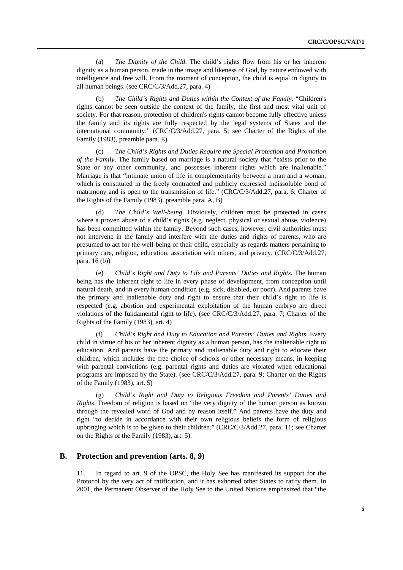(a) *The Dignity of the Child*. The child's rights flow from his or her inherent dignity as a human person, made in the image and likeness of God, by nature endowed with intelligence and free will. From the moment of conception, the child is equal in dignity to all human beings. (see CRC/C/3/Add.27, para. 4)

(b) *The Child's Rights and Duties within the Context of the Family*. "Children's rights cannot be seen outside the context of the family, the first and most vital unit of society. For that reason, protection of children's rights cannot become fully effective unless the family and its rights are fully respected by the legal systems of States and the international community." (CRC/C/3/Add.27, para. 5; see Charter of the Rights of the Family (1983), preamble para. E)

(c) *The Child's Rights and Duties Require the Special Protection and Promotion of the Family*. The family based on marriage is a natural society that "exists prior to the State or any other community, and possesses inherent rights which are inalienable." Marriage is that "intimate union of life in complementarity between a man and a woman, which is constituted in the freely contracted and publicly expressed indissoluble bond of matrimony and is open to the transmission of life." (CRC/C/3/Add.27, para. 6; Charter of the Rights of the Family (1983), preamble para. A, B)

The Child's Well-being. Obviously, children must be protected in cases where a proven abuse of a child's rights (e.g. neglect, physical or sexual abuse, violence) has been committed within the family. Beyond such cases, however, civil authorities must not intervene in the family and interfere with the duties and rights of parents, who are presumed to act for the well-being of their child, especially as regards matters pertaining to primary care, religion, education, association with others, and privacy. (CRC/C/3/Add.27, para. 16 (b))

(e) *Child's Right and Duty to Life and Parents' Duties and Rights*. The human being has the inherent right to life in every phase of development, from conception until natural death, and in every human condition (e.g. sick, disabled, or poor). And parents have the primary and inalienable duty and right to ensure that their child's right to life is respected (e.g. abortion and experimental exploitation of the human embryo are direct violations of the fundamental right to life). (see CRC/C/3/Add.27, para. 7; Charter of the Rights of the Family (1983), art. 4)

(f) *Child's Right and Duty to Education and Parents' Duties and Rights*. Every child in virtue of his or her inherent dignity as a human person, has the inalienable right to education. And parents have the primary and inalienable duty and right to educate their children, which includes the free choice of schools or other necessary means, in keeping with parental convictions (e.g. parental rights and duties are violated when educational programs are imposed by the State). (see CRC/C/3/Add.27, para. 9; Charter on the Rights of the Family (1983), art. 5)

(g) *Child's Right and Duty to Religious Freedom and Parents' Duties and Rights*. Freedom of religion is based on "the very dignity of the human person as known through the revealed word of God and by reason itself." And parents have the duty and right "to decide in accordance with their own religious beliefs the form of religious upbringing which is to be given to their children." (CRC/C/3/Add.27, para. 11; see Charter on the Rights of the Family (1983), art. 5).

### **B. Protection and prevention (arts. 8, 9)**

11. In regard to art. 9 of the OPSC, the Holy See has manifested its support for the Protocol by the very act of ratification, and it has exhorted other States to ratify them. In 2001, the Permanent Observer of the Holy See to the United Nations emphasized that "the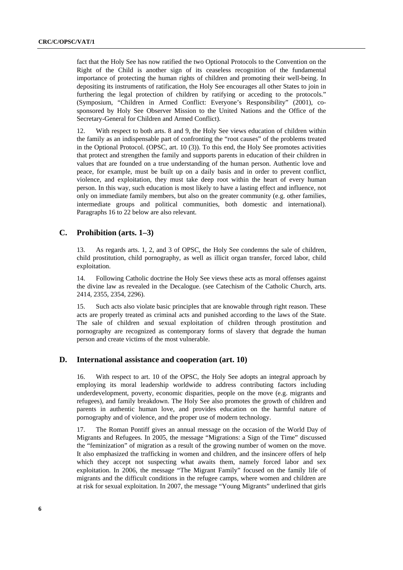fact that the Holy See has now ratified the two Optional Protocols to the Convention on the Right of the Child is another sign of its ceaseless recognition of the fundamental importance of protecting the human rights of children and promoting their well-being. In depositing its instruments of ratification, the Holy See encourages all other States to join in furthering the legal protection of children by ratifying or acceding to the protocols." (Symposium, "Children in Armed Conflict: Everyone's Responsibility" (2001), cosponsored by Holy See Observer Mission to the United Nations and the Office of the Secretary-General for Children and Armed Conflict).

12. With respect to both arts. 8 and 9, the Holy See views education of children within the family as an indispensable part of confronting the "root causes" of the problems treated in the Optional Protocol. (OPSC, art. 10 (3)). To this end, the Holy See promotes activities that protect and strengthen the family and supports parents in education of their children in values that are founded on a true understanding of the human person. Authentic love and peace, for example, must be built up on a daily basis and in order to prevent conflict, violence, and exploitation, they must take deep root within the heart of every human person. In this way, such education is most likely to have a lasting effect and influence, not only on immediate family members, but also on the greater community (e.g. other families, intermediate groups and political communities, both domestic and international). Paragraphs 16 to 22 below are also relevant.

### **C. Prohibition (arts. 1–3)**

13. As regards arts. 1, 2, and 3 of OPSC, the Holy See condemns the sale of children, child prostitution, child pornography, as well as illicit organ transfer, forced labor, child exploitation.

14. Following Catholic doctrine the Holy See views these acts as moral offenses against the divine law as revealed in the Decalogue. (see Catechism of the Catholic Church, arts. 2414, 2355, 2354, 2296).

15. Such acts also violate basic principles that are knowable through right reason. These acts are properly treated as criminal acts and punished according to the laws of the State. The sale of children and sexual exploitation of children through prostitution and pornography are recognized as contemporary forms of slavery that degrade the human person and create victims of the most vulnerable.

#### **D. International assistance and cooperation (art. 10)**

16. With respect to art. 10 of the OPSC, the Holy See adopts an integral approach by employing its moral leadership worldwide to address contributing factors including underdevelopment, poverty, economic disparities, people on the move (e.g. migrants and refugees), and family breakdown. The Holy See also promotes the growth of children and parents in authentic human love, and provides education on the harmful nature of pornography and of violence, and the proper use of modern technology.

17. The Roman Pontiff gives an annual message on the occasion of the World Day of Migrants and Refugees. In 2005, the message "Migrations: a Sign of the Time" discussed the "feminization" of migration as a result of the growing number of women on the move. It also emphasized the trafficking in women and children, and the insincere offers of help which they accept not suspecting what awaits them, namely forced labor and sex exploitation. In 2006, the message "The Migrant Family" focused on the family life of migrants and the difficult conditions in the refugee camps, where women and children are at risk for sexual exploitation. In 2007, the message "Young Migrants" underlined that girls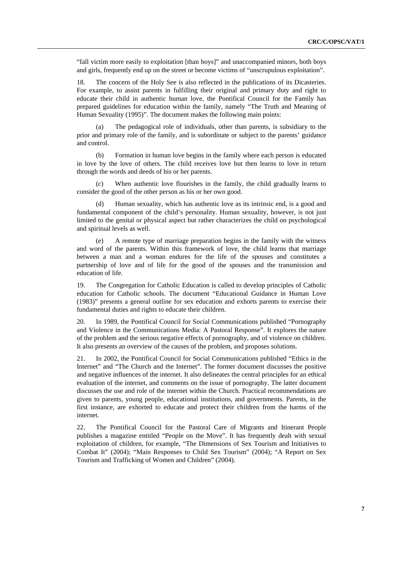"fall victim more easily to exploitation [than boys]" and unaccompanied minors, both boys and girls, frequently end up on the street or become victims of "unscrupulous exploitation".

18. The concern of the Holy See is also reflected in the publications of its Dicasteries. For example, to assist parents in fulfilling their original and primary duty and right to educate their child in authentic human love, the Pontifical Council for the Family has prepared guidelines for education within the family, namely "The Truth and Meaning of Human Sexuality (1995)". The document makes the following main points:

(a) The pedagogical role of individuals, other than parents, is subsidiary to the prior and primary role of the family, and is subordinate or subject to the parents' guidance and control.

(b) Formation in human love begins in the family where each person is educated in love by the love of others. The child receives love but then learns to love in return through the words and deeds of his or her parents.

When authentic love flourishes in the family, the child gradually learns to consider the good of the other person as his or her own good.

(d) Human sexuality, which has authentic love as its intrinsic end, is a good and fundamental component of the child's personality. Human sexuality, however, is not just limited to the genital or physical aspect but rather characterizes the child on psychological and spiritual levels as well.

A remote type of marriage preparation begins in the family with the witness and word of the parents. Within this framework of love, the child learns that marriage between a man and a woman endures for the life of the spouses and constitutes a partnership of love and of life for the good of the spouses and the transmission and education of life.

19. The Congregation for Catholic Education is called to develop principles of Catholic education for Catholic schools. The document "Educational Guidance in Human Love (1983)" presents a general outline for sex education and exhorts parents to exercise their fundamental duties and rights to educate their children.

20. In 1989, the Pontifical Council for Social Communications published "Pornography and Violence in the Communications Media: A Pastoral Response". It explores the nature of the problem and the serious negative effects of pornography, and of violence on children. It also presents an overview of the causes of the problem, and proposes solutions.

21. In 2002, the Pontifical Council for Social Communications published "Ethics in the Internet" and "The Church and the Internet". The former document discusses the positive and negative influences of the internet. It also delineates the central principles for an ethical evaluation of the internet, and comments on the issue of pornography. The latter document discusses the use and role of the internet within the Church. Practical recommendations are given to parents, young people, educational institutions, and governments. Parents, in the first instance, are exhorted to educate and protect their children from the harms of the internet.

22. The Pontifical Council for the Pastoral Care of Migrants and Itinerant People publishes a magazine entitled "People on the Move". It has frequently dealt with sexual exploitation of children, for example, "The Dimensions of Sex Tourism and Initiatives to Combat It" (2004); "Main Responses to Child Sex Tourism" (2004); "A Report on Sex Tourism and Trafficking of Women and Children" (2004).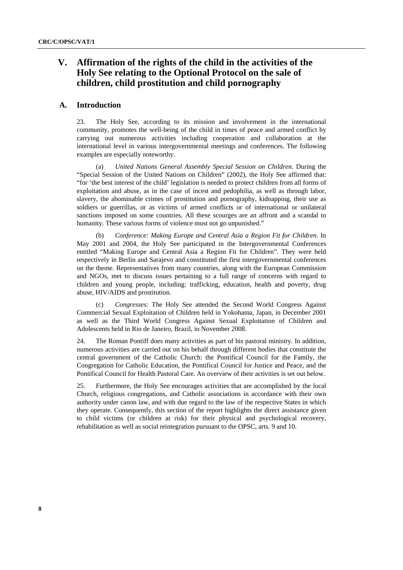# **V. Affirmation of the rights of the child in the activities of the Holy See relating to the Optional Protocol on the sale of children, child prostitution and child pornography**

### **A. Introduction**

23. The Holy See, according to its mission and involvement in the international community, promotes the well-being of the child in times of peace and armed conflict by carrying out numerous activities including cooperation and collaboration at the international level in various intergovernmental meetings and conferences. The following examples are especially noteworthy.

(a) *United Nations General Assembly Special Session on Children*. During the "Special Session of the United Nations on Children" (2002), the Holy See affirmed that: "for 'the best interest of the child' legislation is needed to protect children from all forms of exploitation and abuse, as in the case of incest and pedophilia, as well as through labor, slavery, the abominable crimes of prostitution and pornography, kidnapping, their use as soldiers or guerrillas, or as victims of armed conflicts or of international or unilateral sanctions imposed on some countries. All these scourges are an affront and a scandal to humanity. These various forms of violence must not go unpunished."

(b) *Conference: Making Europe and Central Asia a Region Fit for Children*. In May 2001 and 2004, the Holy See participated in the Intergovernmental Conferences entitled "Making Europe and Central Asia a Region Fit for Children". They were held respectively in Berlin and Sarajevo and constituted the first intergovernmental conferences on the theme. Representatives from many countries, along with the European Commission and NGOs, met to discuss issues pertaining to a full range of concerns with regard to children and young people, including: trafficking, education, health and poverty, drug abuse, HIV/AIDS and prostitution.

(c) *Congresses:* The Holy See attended the Second World Congress Against Commercial Sexual Exploitation of Children held in Yokohama, Japan, in December 2001 as well as the Third World Congress Against Sexual Exploitation of Children and Adolescents held in Rio de Janeiro, Brazil, in November 2008.

24. The Roman Pontiff does many activities as part of his pastoral ministry. In addition, numerous activities are carried out on his behalf through different bodies that constitute the central government of the Catholic Church: the Pontifical Council for the Family, the Congregation for Catholic Education, the Pontifical Council for Justice and Peace, and the Pontifical Council for Health Pastoral Care. An overview of their activities is set out below.

25. Furthermore, the Holy See encourages activities that are accomplished by the local Church, religious congregations, and Catholic associations in accordance with their own authority under canon law, and with due regard to the law of the respective States in which they operate. Consequently, this section of the report highlights the direct assistance given to child victims (or children at risk) for their physical and psychological recovery, rehabilitation as well as social reintegration pursuant to the OPSC, arts. 9 and 10.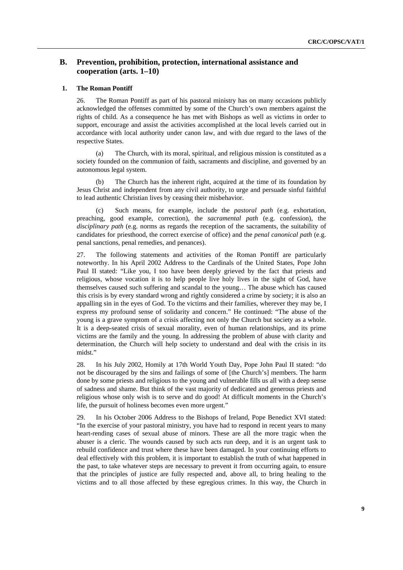### **B. Prevention, prohibition, protection, international assistance and cooperation (arts. 1–10)**

#### **1. The Roman Pontiff**

26. The Roman Pontiff as part of his pastoral ministry has on many occasions publicly acknowledged the offenses committed by some of the Church's own members against the rights of child. As a consequence he has met with Bishops as well as victims in order to support, encourage and assist the activities accomplished at the local levels carried out in accordance with local authority under canon law, and with due regard to the laws of the respective States.

(a) The Church, with its moral, spiritual, and religious mission is constituted as a society founded on the communion of faith, sacraments and discipline, and governed by an autonomous legal system.

(b) The Church has the inherent right, acquired at the time of its foundation by Jesus Christ and independent from any civil authority, to urge and persuade sinful faithful to lead authentic Christian lives by ceasing their misbehavior.

Such means, for example, include the *pastoral path* (e.g. exhortation, preaching, good example, correction), the *sacramental path* (e.g. confession), the *disciplinary path* (e.g. norms as regards the reception of the sacraments, the suitability of candidates for priesthood, the correct exercise of office) and the *penal canonical path* (e.g. penal sanctions, penal remedies, and penances).

27. The following statements and activities of the Roman Pontiff are particularly noteworthy. In his April 2002 Address to the Cardinals of the United States, Pope John Paul II stated: "Like you, I too have been deeply grieved by the fact that priests and religious, whose vocation it is to help people live holy lives in the sight of God, have themselves caused such suffering and scandal to the young… The abuse which has caused this crisis is by every standard wrong and rightly considered a crime by society; it is also an appalling sin in the eyes of God. To the victims and their families, wherever they may be, I express my profound sense of solidarity and concern." He continued: "The abuse of the young is a grave symptom of a crisis affecting not only the Church but society as a whole. It is a deep-seated crisis of sexual morality, even of human relationships, and its prime victims are the family and the young. In addressing the problem of abuse with clarity and determination, the Church will help society to understand and deal with the crisis in its midst."

28. In his July 2002, Homily at 17th World Youth Day, Pope John Paul II stated: "do not be discouraged by the sins and failings of some of [the Church's] members. The harm done by some priests and religious to the young and vulnerable fills us all with a deep sense of sadness and shame. But think of the vast majority of dedicated and generous priests and religious whose only wish is to serve and do good! At difficult moments in the Church's life, the pursuit of holiness becomes even more urgent."

29. In his October 2006 Address to the Bishops of Ireland, Pope Benedict XVI stated: "In the exercise of your pastoral ministry, you have had to respond in recent years to many heart-rending cases of sexual abuse of minors. These are all the more tragic when the abuser is a cleric. The wounds caused by such acts run deep, and it is an urgent task to rebuild confidence and trust where these have been damaged. In your continuing efforts to deal effectively with this problem, it is important to establish the truth of what happened in the past, to take whatever steps are necessary to prevent it from occurring again, to ensure that the principles of justice are fully respected and, above all, to bring healing to the victims and to all those affected by these egregious crimes. In this way, the Church in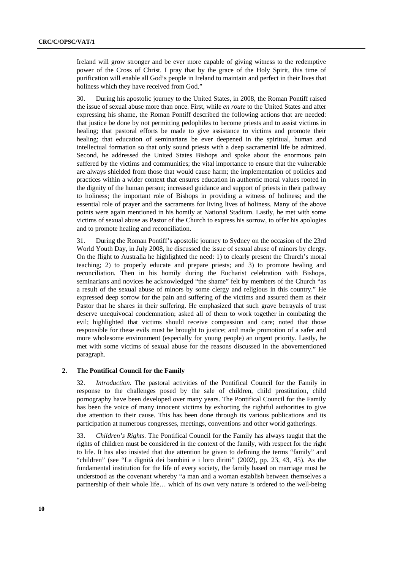Ireland will grow stronger and be ever more capable of giving witness to the redemptive power of the Cross of Christ. I pray that by the grace of the Holy Spirit, this time of purification will enable all God's people in Ireland to maintain and perfect in their lives that holiness which they have received from God."

30. During his apostolic journey to the United States, in 2008, the Roman Pontiff raised the issue of sexual abuse more than once. First, while *en route* to the United States and after expressing his shame, the Roman Pontiff described the following actions that are needed: that justice be done by not permitting pedophiles to become priests and to assist victims in healing; that pastoral efforts be made to give assistance to victims and promote their healing; that education of seminarians be ever deepened in the spiritual, human and intellectual formation so that only sound priests with a deep sacramental life be admitted. Second, he addressed the United States Bishops and spoke about the enormous pain suffered by the victims and communities; the vital importance to ensure that the vulnerable are always shielded from those that would cause harm; the implementation of policies and practices within a wider context that ensures education in authentic moral values rooted in the dignity of the human person; increased guidance and support of priests in their pathway to holiness; the important role of Bishops in providing a witness of holiness; and the essential role of prayer and the sacraments for living lives of holiness. Many of the above points were again mentioned in his homily at National Stadium. Lastly, he met with some victims of sexual abuse as Pastor of the Church to express his sorrow, to offer his apologies and to promote healing and reconciliation.

31. During the Roman Pontiff's apostolic journey to Sydney on the occasion of the 23rd World Youth Day, in July 2008, he discussed the issue of sexual abuse of minors by clergy. On the flight to Australia he highlighted the need: 1) to clearly present the Church's moral teaching; 2) to properly educate and prepare priests; and 3) to promote healing and reconciliation. Then in his homily during the Eucharist celebration with Bishops, seminarians and novices he acknowledged "the shame" felt by members of the Church "as a result of the sexual abuse of minors by some clergy and religious in this country." He expressed deep sorrow for the pain and suffering of the victims and assured them as their Pastor that he shares in their suffering. He emphasized that such grave betrayals of trust deserve unequivocal condemnation; asked all of them to work together in combating the evil; highlighted that victims should receive compassion and care; noted that those responsible for these evils must be brought to justice; and made promotion of a safer and more wholesome environment (especially for young people) an urgent priority. Lastly, he met with some victims of sexual abuse for the reasons discussed in the abovementioned paragraph.

#### **2. The Pontifical Council for the Family**

32. *Introduction*. The pastoral activities of the Pontifical Council for the Family in response to the challenges posed by the sale of children, child prostitution, child pornography have been developed over many years. The Pontifical Council for the Family has been the voice of many innocent victims by exhorting the rightful authorities to give due attention to their cause. This has been done through its various publications and its participation at numerous congresses, meetings, conventions and other world gatherings.

33. *Children's Rights*. The Pontifical Council for the Family has always taught that the rights of children must be considered in the context of the family, with respect for the right to life. It has also insisted that due attention be given to defining the terms "family" and "children" (see "La dignità dei bambini e i loro diritti" (2002), pp. 23, 43, 45). As the fundamental institution for the life of every society, the family based on marriage must be understood as the covenant whereby "a man and a woman establish between themselves a partnership of their whole life… which of its own very nature is ordered to the well-being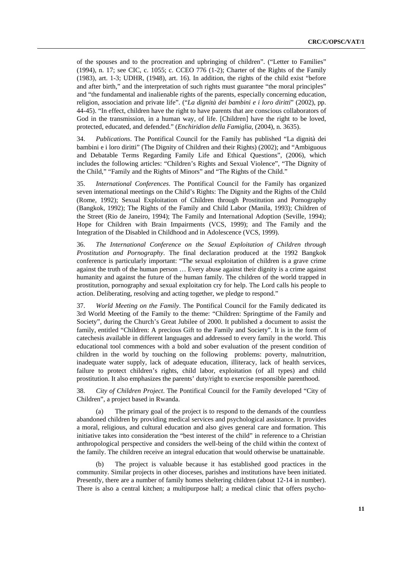of the spouses and to the procreation and upbringing of children". ("Letter to Families" (1994), n. 17; see CIC, c. 1055; c. CCEO 776 (1-2); Charter of the Rights of the Family (1983), art. 1-3; UDHR, (1948), art. 16). In addition, the rights of the child exist "before and after birth," and the interpretation of such rights must guarantee "the moral principles" and "the fundamental and inalienable rights of the parents, especially concerning education, religion, association and private life". ("*La dignità dei bambini e i loro diritti*" (2002), pp. 44-45). "In effect, children have the right to have parents that are conscious collaborators of God in the transmission, in a human way, of life. [Children] have the right to be loved, protected, educated, and defended." (*Enchiridion della Famiglia*, (2004), n. 3635).

34. *Publications*. The Pontifical Council for the Family has published "La dignità dei bambini e i loro diritti" (The Dignity of Children and their Rights) (2002); and "Ambiguous and Debatable Terms Regarding Family Life and Ethical Questions", (2006), which includes the following articles: "Children's Rights and Sexual Violence", "The Dignity of the Child," "Family and the Rights of Minors" and "The Rights of the Child."

35. *International Conferences*. The Pontifical Council for the Family has organized seven international meetings on the Child's Rights: The Dignity and the Rights of the Child (Rome, 1992); Sexual Exploitation of Children through Prostitution and Pornography (Bangkok, 1992); The Rights of the Family and Child Labor (Manila, 1993); Children of the Street (Rio de Janeiro, 1994); The Family and International Adoption (Seville, 1994); Hope for Children with Brain Impairments (VCS, 1999); and The Family and the Integration of the Disabled in Childhood and in Adolescence (VCS, 1999).

36. *The International Conference on the Sexual Exploitation of Children through Prostitution and Pornography*. The final declaration produced at the 1992 Bangkok conference is particularly important: "The sexual exploitation of children is a grave crime against the truth of the human person … Every abuse against their dignity is a crime against humanity and against the future of the human family. The children of the world trapped in prostitution, pornography and sexual exploitation cry for help. The Lord calls his people to action. Deliberating, resolving and acting together, we pledge to respond."

37. *World Meeting on the Family*. The Pontifical Council for the Family dedicated its 3rd World Meeting of the Family to the theme: "Children: Springtime of the Family and Society", during the Church's Great Jubilee of 2000. It published a document to assist the family, entitled "Children: A precious Gift to the Family and Society". It is in the form of catechesis available in different languages and addressed to every family in the world. This educational tool commences with a bold and sober evaluation of the present condition of children in the world by touching on the following problems: poverty, malnutrition, inadequate water supply, lack of adequate education, illiteracy, lack of health services, failure to protect children's rights, child labor, exploitation (of all types) and child prostitution. It also emphasizes the parents' duty/right to exercise responsible parenthood.

38. *City of Children Project*. The Pontifical Council for the Family developed "City of Children", a project based in Rwanda.

(a) The primary goal of the project is to respond to the demands of the countless abandoned children by providing medical services and psychological assistance. It provides a moral, religious, and cultural education and also gives general care and formation. This initiative takes into consideration the "best interest of the child" in reference to a Christian anthropological perspective and considers the well-being of the child within the context of the family. The children receive an integral education that would otherwise be unattainable.

(b) The project is valuable because it has established good practices in the community. Similar projects in other dioceses, parishes and institutions have been initiated. Presently, there are a number of family homes sheltering children (about 12-14 in number). There is also a central kitchen; a multipurpose hall; a medical clinic that offers psycho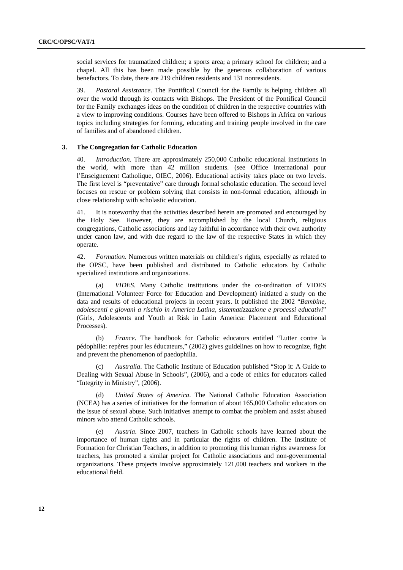social services for traumatized children; a sports area; a primary school for children; and a chapel. All this has been made possible by the generous collaboration of various benefactors. To date, there are 219 children residents and 131 nonresidents.

39. *Pastoral Assistance*. The Pontifical Council for the Family is helping children all over the world through its contacts with Bishops. The President of the Pontifical Council for the Family exchanges ideas on the condition of children in the respective countries with a view to improving conditions. Courses have been offered to Bishops in Africa on various topics including strategies for forming, educating and training people involved in the care of families and of abandoned children.

#### **3. The Congregation for Catholic Education**

40. *Introduction*. There are approximately 250,000 Catholic educational institutions in the world, with more than 42 million students. (see Office International pour l'Enseignement Catholique, OIEC, 2006). Educational activity takes place on two levels. The first level is "preventative" care through formal scholastic education. The second level focuses on rescue or problem solving that consists in non-formal education, although in close relationship with scholastic education.

41. It is noteworthy that the activities described herein are promoted and encouraged by the Holy See. However, they are accomplished by the local Church, religious congregations, Catholic associations and lay faithful in accordance with their own authority under canon law, and with due regard to the law of the respective States in which they operate.

42. *Formation*. Numerous written materials on children's rights, especially as related to the OPSC, have been published and distributed to Catholic educators by Catholic specialized institutions and organizations.

(a) *VIDES*. Many Catholic institutions under the co-ordination of VIDES (International Volunteer Force for Education and Development) initiated a study on the data and results of educational projects in recent years. It published the 2002 "*Bambine, adolescenti e giovani a rischio in America Latina, sistematizzazione e processi educativi*" (Girls, Adolescents and Youth at Risk in Latin America: Placement and Educational Processes).

(b) *France*. The handbook for Catholic educators entitled "Lutter contre la pédophilie: repères pour les éducateurs," (2002) gives guidelines on how to recognize, fight and prevent the phenomenon of paedophilia.

(c) *Australia*. The Catholic Institute of Education published "Stop it: A Guide to Dealing with Sexual Abuse in Schools", (2006), and a code of ethics for educators called "Integrity in Ministry", (2006).

(d) *United States of America*. The National Catholic Education Association (NCEA) has a series of initiatives for the formation of about 165,000 Catholic educators on the issue of sexual abuse. Such initiatives attempt to combat the problem and assist abused minors who attend Catholic schools.

(e) *Austria*. Since 2007, teachers in Catholic schools have learned about the importance of human rights and in particular the rights of children. The Institute of Formation for Christian Teachers, in addition to promoting this human rights awareness for teachers, has promoted a similar project for Catholic associations and non-governmental organizations. These projects involve approximately 121,000 teachers and workers in the educational field.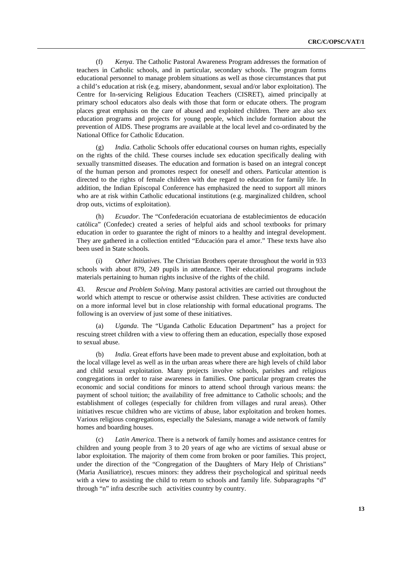(f) *Kenya*. The Catholic Pastoral Awareness Program addresses the formation of teachers in Catholic schools, and in particular, secondary schools. The program forms educational personnel to manage problem situations as well as those circumstances that put a child's education at risk (e.g. misery, abandonment, sexual and/or labor exploitation). The Centre for In-servicing Religious Education Teachers (CISRET), aimed principally at primary school educators also deals with those that form or educate others. The program places great emphasis on the care of abused and exploited children. There are also sex education programs and projects for young people, which include formation about the prevention of AIDS. These programs are available at the local level and co-ordinated by the National Office for Catholic Education.

(g) *India*. Catholic Schools offer educational courses on human rights, especially on the rights of the child. These courses include sex education specifically dealing with sexually transmitted diseases. The education and formation is based on an integral concept of the human person and promotes respect for oneself and others. Particular attention is directed to the rights of female children with due regard to education for family life. In addition, the Indian Episcopal Conference has emphasized the need to support all minors who are at risk within Catholic educational institutions (e.g. marginalized children, school drop outs, victims of exploitation).

(h) *Ecuador*. The "Confederación ecuatoriana de establecimientos de educación católica" (Confedec) created a series of helpful aids and school textbooks for primary education in order to guarantee the right of minors to a healthy and integral development. They are gathered in a collection entitled "Educación para el amor." These texts have also been used in State schools.

(i) *Other Initiatives*. The Christian Brothers operate throughout the world in 933 schools with about 879, 249 pupils in attendance. Their educational programs include materials pertaining to human rights inclusive of the rights of the child.

43. *Rescue and Problem Solving*. Many pastoral activities are carried out throughout the world which attempt to rescue or otherwise assist children. These activities are conducted on a more informal level but in close relationship with formal educational programs. The following is an overview of just some of these initiatives.

Uganda. The "Uganda Catholic Education Department" has a project for rescuing street children with a view to offering them an education, especially those exposed to sexual abuse.

(b) *India*. Great efforts have been made to prevent abuse and exploitation, both at the local village level as well as in the urban areas where there are high levels of child labor and child sexual exploitation. Many projects involve schools, parishes and religious congregations in order to raise awareness in families. One particular program creates the economic and social conditions for minors to attend school through various means: the payment of school tuition; the availability of free admittance to Catholic schools; and the establishment of colleges (especially for children from villages and rural areas). Other initiatives rescue children who are victims of abuse, labor exploitation and broken homes. Various religious congregations, especially the Salesians, manage a wide network of family homes and boarding houses.

(c) *Latin America*. There is a network of family homes and assistance centres for children and young people from 3 to 20 years of age who are victims of sexual abuse or labor exploitation. The majority of them come from broken or poor families. This project, under the direction of the "Congregation of the Daughters of Mary Help of Christians" (Maria Ausiliatrice), rescues minors: they address their psychological and spiritual needs with a view to assisting the child to return to schools and family life. Subparagraphs "d" through "n" infra describe such activities country by country.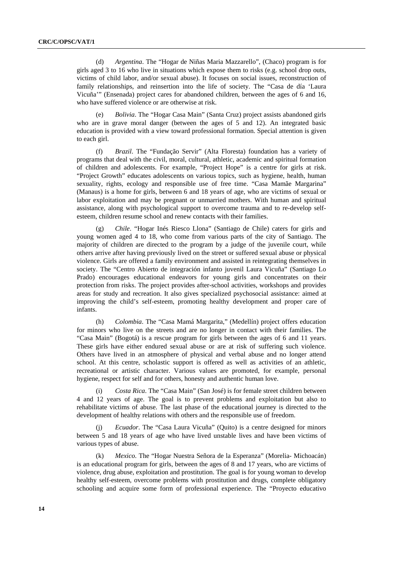(d) *Argentina*. The "Hogar de Niñas Maria Mazzarello", (Chaco) program is for girls aged 3 to 16 who live in situations which expose them to risks (e.g. school drop outs, victims of child labor, and/or sexual abuse). It focuses on social issues, reconstruction of family relationships, and reinsertion into the life of society. The "Casa de día 'Laura Vicuña'" (Ensenada) project cares for abandoned children, between the ages of 6 and 16, who have suffered violence or are otherwise at risk.

(e) *Bolivia*. The "Hogar Casa Main" (Santa Cruz) project assists abandoned girls who are in grave moral danger (between the ages of 5 and 12). An integrated basic education is provided with a view toward professional formation. Special attention is given to each girl.

(f) *Brazil*. The "Fundação Servir" (Alta Floresta) foundation has a variety of programs that deal with the civil, moral, cultural, athletic, academic and spiritual formation of children and adolescents. For example, "Project Hope" is a centre for girls at risk. "Project Growth" educates adolescents on various topics, such as hygiene, health, human sexuality, rights, ecology and responsible use of free time. "Casa Mamãe Margarina" (Manaus) is a home for girls, between 6 and 18 years of age, who are victims of sexual or labor exploitation and may be pregnant or unmarried mothers. With human and spiritual assistance, along with psychological support to overcome trauma and to re-develop selfesteem, children resume school and renew contacts with their families.

(g) *Chile*. "Hogar Inés Riesco Llona" (Santiago de Chile) caters for girls and young women aged 4 to 18, who come from various parts of the city of Santiago. The majority of children are directed to the program by a judge of the juvenile court, while others arrive after having previously lived on the street or suffered sexual abuse or physical violence. Girls are offered a family environment and assisted in reintegrating themselves in society. The "Centro Abierto de integración infanto juvenil Laura Vicuña" (Santiago Lo Prado) encourages educational endeavors for young girls and concentrates on their protection from risks. The project provides after-school activities, workshops and provides areas for study and recreation. It also gives specialized psychosocial assistance: aimed at improving the child's self-esteem, promoting healthy development and proper care of infants.

(h) *Colombia*. The "Casa Mamá Margarita," (Medellín) project offers education for minors who live on the streets and are no longer in contact with their families. The "Casa Main" (Bogotá) is a rescue program for girls between the ages of 6 and 11 years. These girls have either endured sexual abuse or are at risk of suffering such violence. Others have lived in an atmosphere of physical and verbal abuse and no longer attend school. At this centre, scholastic support is offered as well as activities of an athletic, recreational or artistic character. Various values are promoted, for example, personal hygiene, respect for self and for others, honesty and authentic human love.

(i) *Costa Rica*. The "Casa Main" (San José) is for female street children between 4 and 12 years of age. The goal is to prevent problems and exploitation but also to rehabilitate victims of abuse. The last phase of the educational journey is directed to the development of healthy relations with others and the responsible use of freedom.

(j) *Ecuador*. The "Casa Laura Vicuña" (Quito) is a centre designed for minors between 5 and 18 years of age who have lived unstable lives and have been victims of various types of abuse.

(k) *Mexico*. The "Hogar Nuestra Señora de la Esperanza" (Morelia- Michoacán) is an educational program for girls, between the ages of 8 and 17 years, who are victims of violence, drug abuse, exploitation and prostitution. The goal is for young woman to develop healthy self-esteem, overcome problems with prostitution and drugs, complete obligatory schooling and acquire some form of professional experience. The "Proyecto educativo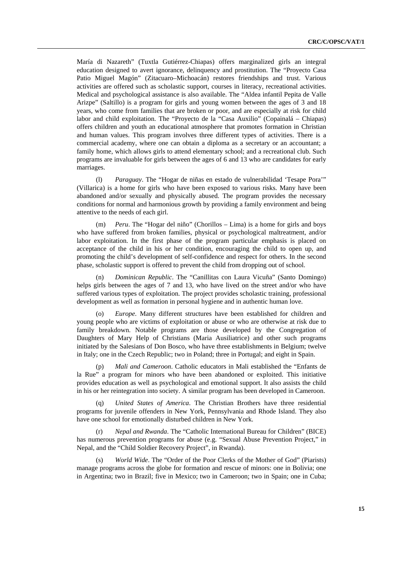María di Nazareth" (Tuxtla Gutiérrez-Chiapas) offers marginalized girls an integral education designed to avert ignorance, delinquency and prostitution. The "Proyecto Casa Patio Miguel Magón" (Zitacuaro–Michoacán) restores friendships and trust. Various activities are offered such as scholastic support, courses in literacy, recreational activities. Medical and psychological assistance is also available. The "Aldea infantil Pepita de Valle Arizpe" (Saltillo) is a program for girls and young women between the ages of 3 and 18 years, who come from families that are broken or poor, and are especially at risk for child labor and child exploitation. The "Proyecto de la "Casa Auxilio" (Copainalá – Chiapas) offers children and youth an educational atmosphere that promotes formation in Christian and human values. This program involves three different types of activities. There is a commercial academy, where one can obtain a diploma as a secretary or an accountant; a family home, which allows girls to attend elementary school; and a recreational club. Such programs are invaluable for girls between the ages of 6 and 13 who are candidates for early marriages.

(l) *Paraguay*. The "Hogar de niñas en estado de vulnerabilidad 'Tesape Pora'" (Villarica) is a home for girls who have been exposed to various risks. Many have been abandoned and/or sexually and physically abused. The program provides the necessary conditions for normal and harmonious growth by providing a family environment and being attentive to the needs of each girl.

(m) *Peru*. The "Hogar del niño" (Chorillos – Lima) is a home for girls and boys who have suffered from broken families, physical or psychological maltreatment, and/or labor exploitation. In the first phase of the program particular emphasis is placed on acceptance of the child in his or her condition, encouraging the child to open up, and promoting the child's development of self-confidence and respect for others. In the second phase, scholastic support is offered to prevent the child from dropping out of school.

(n) *Dominican Republic*. The "Canillitas con Laura Vicuña" (Santo Domingo) helps girls between the ages of 7 and 13, who have lived on the street and/or who have suffered various types of exploitation. The project provides scholastic training, professional development as well as formation in personal hygiene and in authentic human love.

(o) *Europe*. Many different structures have been established for children and young people who are victims of exploitation or abuse or who are otherwise at risk due to family breakdown. Notable programs are those developed by the Congregation of Daughters of Mary Help of Christians (Maria Ausiliatrice) and other such programs initiated by the Salesians of Don Bosco, who have three establishments in Belgium; twelve in Italy; one in the Czech Republic; two in Poland; three in Portugal; and eight in Spain.

(p) *Mali and Cameroon*. Catholic educators in Mali established the "Enfants de la Rue" a program for minors who have been abandoned or exploited. This initiative provides education as well as psychological and emotional support. It also assists the child in his or her reintegration into society. A similar program has been developed in Cameroon.

(q) *United States of America*. The Christian Brothers have three residential programs for juvenile offenders in New York, Pennsylvania and Rhode Island. They also have one school for emotionally disturbed children in New York.

(r) *Nepal and Rwanda*. The "Catholic International Bureau for Children" (BICE) has numerous prevention programs for abuse (e.g. "Sexual Abuse Prevention Project," in Nepal, and the "Child Soldier Recovery Project", in Rwanda).

(s) *World Wide*. The "Order of the Poor Clerks of the Mother of God" (Piarists) manage programs across the globe for formation and rescue of minors: one in Bolivia; one in Argentina; two in Brazil; five in Mexico; two in Cameroon; two in Spain; one in Cuba;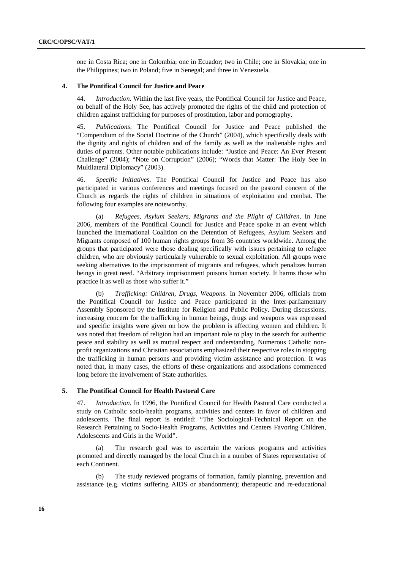one in Costa Rica; one in Colombia; one in Ecuador; two in Chile; one in Slovakia; one in the Philippines; two in Poland; five in Senegal; and three in Venezuela.

#### **4. The Pontifical Council for Justice and Peace**

44. *Introduction*. Within the last five years, the Pontifical Council for Justice and Peace, on behalf of the Holy See, has actively promoted the rights of the child and protection of children against trafficking for purposes of prostitution, labor and pornography.

45. *Publications*. The Pontifical Council for Justice and Peace published the "Compendium of the Social Doctrine of the Church" (2004), which specifically deals with the dignity and rights of children and of the family as well as the inalienable rights and duties of parents. Other notable publications include: "Justice and Peace: An Ever Present Challenge" (2004); "Note on Corruption" (2006); "Words that Matter: The Holy See in Multilateral Diplomacy" (2003).

46. *Specific Initiatives*. The Pontifical Council for Justice and Peace has also participated in various conferences and meetings focused on the pastoral concern of the Church as regards the rights of children in situations of exploitation and combat. The following four examples are noteworthy.

(a) *Refugees, Asylum Seekers, Migrants and the Plight of Children*. In June 2006, members of the Pontifical Council for Justice and Peace spoke at an event which launched the International Coalition on the Detention of Refugees, Asylum Seekers and Migrants composed of 100 human rights groups from 36 countries worldwide. Among the groups that participated were those dealing specifically with issues pertaining to refugee children, who are obviously particularly vulnerable to sexual exploitation. All groups were seeking alternatives to the imprisonment of migrants and refugees, which penalizes human beings in great need. "Arbitrary imprisonment poisons human society. It harms those who practice it as well as those who suffer it."

(b) *Trafficking: Children, Drugs, Weapons*. In November 2006, officials from the Pontifical Council for Justice and Peace participated in the Inter-parliamentary Assembly Sponsored by the Institute for Religion and Public Policy. During discussions, increasing concern for the trafficking in human beings, drugs and weapons was expressed and specific insights were given on how the problem is affecting women and children. It was noted that freedom of religion had an important role to play in the search for authentic peace and stability as well as mutual respect and understanding. Numerous Catholic nonprofit organizations and Christian associations emphasized their respective roles in stopping the trafficking in human persons and providing victim assistance and protection. It was noted that, in many cases, the efforts of these organizations and associations commenced long before the involvement of State authorities.

#### **5. The Pontifical Council for Health Pastoral Care**

47. *Introduction*. In 1996, the Pontifical Council for Health Pastoral Care conducted a study on Catholic socio-health programs, activities and centers in favor of children and adolescents. The final report is entitled: "The Sociological-Technical Report on the Research Pertaining to Socio-Health Programs, Activities and Centers Favoring Children, Adolescents and Girls in the World".

(a) The research goal was to ascertain the various programs and activities promoted and directly managed by the local Church in a number of States representative of each Continent.

(b) The study reviewed programs of formation, family planning, prevention and assistance (e.g. victims suffering AIDS or abandonment); therapeutic and re-educational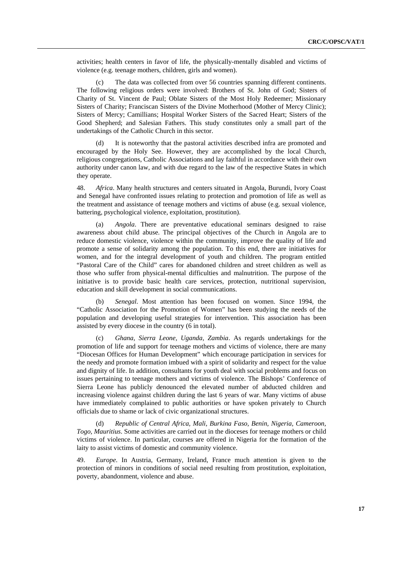activities; health centers in favor of life, the physically-mentally disabled and victims of violence (e.g. teenage mothers, children, girls and women).

(c) The data was collected from over 56 countries spanning different continents. The following religious orders were involved: Brothers of St. John of God; Sisters of Charity of St. Vincent de Paul; Oblate Sisters of the Most Holy Redeemer; Missionary Sisters of Charity; Franciscan Sisters of the Divine Motherhood (Mother of Mercy Clinic); Sisters of Mercy; Camillians; Hospital Worker Sisters of the Sacred Heart; Sisters of the Good Shepherd; and Salesian Fathers. This study constitutes only a small part of the undertakings of the Catholic Church in this sector.

(d) It is noteworthy that the pastoral activities described infra are promoted and encouraged by the Holy See. However, they are accomplished by the local Church, religious congregations, Catholic Associations and lay faithful in accordance with their own authority under canon law, and with due regard to the law of the respective States in which they operate.

48. *Africa*. Many health structures and centers situated in Angola, Burundi, Ivory Coast and Senegal have confronted issues relating to protection and promotion of life as well as the treatment and assistance of teenage mothers and victims of abuse (e.g. sexual violence, battering, psychological violence, exploitation, prostitution).

(a) *Angola*. There are preventative educational seminars designed to raise awareness about child abuse. The principal objectives of the Church in Angola are to reduce domestic violence, violence within the community, improve the quality of life and promote a sense of solidarity among the population. To this end, there are initiatives for women, and for the integral development of youth and children. The program entitled "Pastoral Care of the Child" cares for abandoned children and street children as well as those who suffer from physical-mental difficulties and malnutrition. The purpose of the initiative is to provide basic health care services, protection, nutritional supervision, education and skill development in social communications.

Senegal. Most attention has been focused on women. Since 1994, the "Catholic Association for the Promotion of Women" has been studying the needs of the population and developing useful strategies for intervention. This association has been assisted by every diocese in the country (6 in total).

(c) *Ghana, Sierra Leone, Uganda, Zambia*. As regards undertakings for the promotion of life and support for teenage mothers and victims of violence, there are many "Diocesan Offices for Human Development" which encourage participation in services for the needy and promote formation imbued with a spirit of solidarity and respect for the value and dignity of life. In addition, consultants for youth deal with social problems and focus on issues pertaining to teenage mothers and victims of violence. The Bishops' Conference of Sierra Leone has publicly denounced the elevated number of abducted children and increasing violence against children during the last 6 years of war. Many victims of abuse have immediately complained to public authorities or have spoken privately to Church officials due to shame or lack of civic organizational structures.

(d) *Republic of Central Africa, Mali, Burkina Faso, Benin, Nigeria, Cameroon, Togo, Mauritius*. Some activities are carried out in the dioceses for teenage mothers or child victims of violence. In particular, courses are offered in Nigeria for the formation of the laity to assist victims of domestic and community violence.

49. *Europe*. In Austria, Germany, Ireland, France much attention is given to the protection of minors in conditions of social need resulting from prostitution, exploitation, poverty, abandonment, violence and abuse.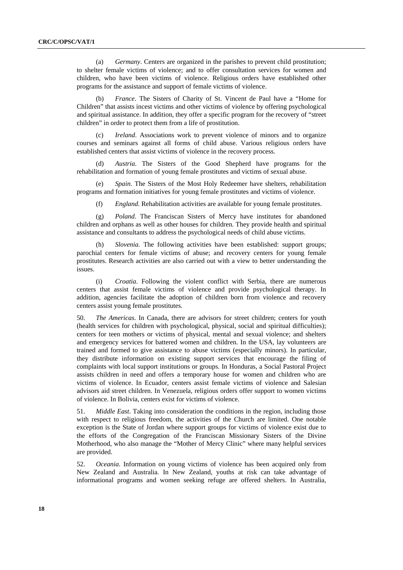(a) *Germany*. Centers are organized in the parishes to prevent child prostitution; to shelter female victims of violence; and to offer consultation services for women and children, who have been victims of violence. Religious orders have established other programs for the assistance and support of female victims of violence.

(b) *France*. The Sisters of Charity of St. Vincent de Paul have a "Home for Children" that assists incest victims and other victims of violence by offering psychological and spiritual assistance. In addition, they offer a specific program for the recovery of "street children" in order to protect them from a life of prostitution.

*Ireland.* Associations work to prevent violence of minors and to organize courses and seminars against all forms of child abuse. Various religious orders have established centers that assist victims of violence in the recovery process.

Austria. The Sisters of the Good Shepherd have programs for the rehabilitation and formation of young female prostitutes and victims of sexual abuse.

(e) *Spain*. The Sisters of the Most Holy Redeemer have shelters, rehabilitation programs and formation initiatives for young female prostitutes and victims of violence.

(f) *England*. Rehabilitation activities are available for young female prostitutes.

(g) *Poland*. The Franciscan Sisters of Mercy have institutes for abandoned children and orphans as well as other houses for children. They provide health and spiritual assistance and consultants to address the psychological needs of child abuse victims.

(h) *Slovenia*. The following activities have been established: support groups; parochial centers for female victims of abuse; and recovery centers for young female prostitutes. Research activities are also carried out with a view to better understanding the issues.

(i) *Croatia*. Following the violent conflict with Serbia, there are numerous centers that assist female victims of violence and provide psychological therapy. In addition, agencies facilitate the adoption of children born from violence and recovery centers assist young female prostitutes.

50. *The Americas*. In Canada, there are advisors for street children; centers for youth (health services for children with psychological, physical, social and spiritual difficulties); centers for teen mothers or victims of physical, mental and sexual violence; and shelters and emergency services for battered women and children. In the USA, lay volunteers are trained and formed to give assistance to abuse victims (especially minors). In particular, they distribute information on existing support services that encourage the filing of complaints with local support institutions or groups. In Honduras, a Social Pastoral Project assists children in need and offers a temporary house for women and children who are victims of violence. In Ecuador, centers assist female victims of violence and Salesian advisors aid street children. In Venezuela, religious orders offer support to women victims of violence. In Bolivia, centers exist for victims of violence.

51. *Middle East*. Taking into consideration the conditions in the region, including those with respect to religious freedom, the activities of the Church are limited. One notable exception is the State of Jordan where support groups for victims of violence exist due to the efforts of the Congregation of the Franciscan Missionary Sisters of the Divine Motherhood, who also manage the "Mother of Mercy Clinic" where many helpful services are provided.

52. *Oceania*. Information on young victims of violence has been acquired only from New Zealand and Australia. In New Zealand, youths at risk can take advantage of informational programs and women seeking refuge are offered shelters. In Australia,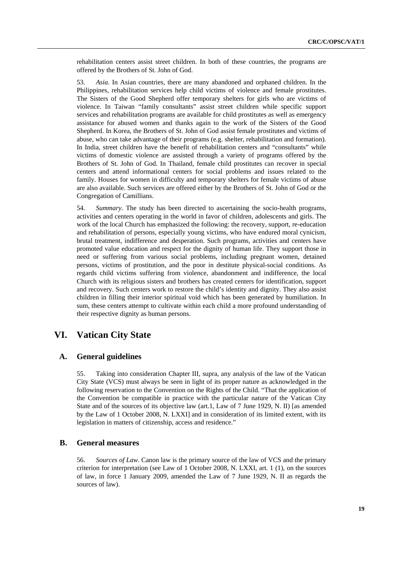rehabilitation centers assist street children. In both of these countries, the programs are offered by the Brothers of St. John of God.

53. *Asia*. In Asian countries, there are many abandoned and orphaned children. In the Philippines, rehabilitation services help child victims of violence and female prostitutes. The Sisters of the Good Shepherd offer temporary shelters for girls who are victims of violence. In Taiwan "family consultants" assist street children while specific support services and rehabilitation programs are available for child prostitutes as well as emergency assistance for abused women and thanks again to the work of the Sisters of the Good Shepherd. In Korea, the Brothers of St. John of God assist female prostitutes and victims of abuse, who can take advantage of their programs (e.g. shelter, rehabilitation and formation). In India, street children have the benefit of rehabilitation centers and "consultants" while victims of domestic violence are assisted through a variety of programs offered by the Brothers of St. John of God. In Thailand, female child prostitutes can recover in special centers and attend informational centers for social problems and issues related to the family. Houses for women in difficulty and temporary shelters for female victims of abuse are also available. Such services are offered either by the Brothers of St. John of God or the Congregation of Camillians.

54. *Summary*. The study has been directed to ascertaining the socio-health programs, activities and centers operating in the world in favor of children, adolescents and girls. The work of the local Church has emphasized the following: the recovery, support, re-education and rehabilitation of persons, especially young victims, who have endured moral cynicism, brutal treatment, indifference and desperation. Such programs, activities and centers have promoted value education and respect for the dignity of human life. They support those in need or suffering from various social problems, including pregnant women, detained persons, victims of prostitution, and the poor in destitute physical-social conditions. As regards child victims suffering from violence, abandonment and indifference, the local Church with its religious sisters and brothers has created centers for identification, support and recovery. Such centers work to restore the child's identity and dignity. They also assist children in filling their interior spiritual void which has been generated by humiliation. In sum, these centers attempt to cultivate within each child a more profound understanding of their respective dignity as human persons.

### **VI. Vatican City State**

#### **A. General guidelines**

55. Taking into consideration Chapter III, supra, any analysis of the law of the Vatican City State (VCS) must always be seen in light of its proper nature as acknowledged in the following reservation to the Convention on the Rights of the Child. "That the application of the Convention be compatible in practice with the particular nature of the Vatican City State and of the sources of its objective law (art.1, Law of 7 June 1929, N. II) [as amended by the Law of 1 October 2008, N. LXXI] and in consideration of its limited extent, with its legislation in matters of citizenship, access and residence."

### **B. General measures**

56. *Sources of Law*. Canon law is the primary source of the law of VCS and the primary criterion for interpretation (see Law of 1 October 2008, N. LXXI, art. 1 (1), on the sources of law, in force 1 January 2009, amended the Law of 7 June 1929, N. II as regards the sources of law).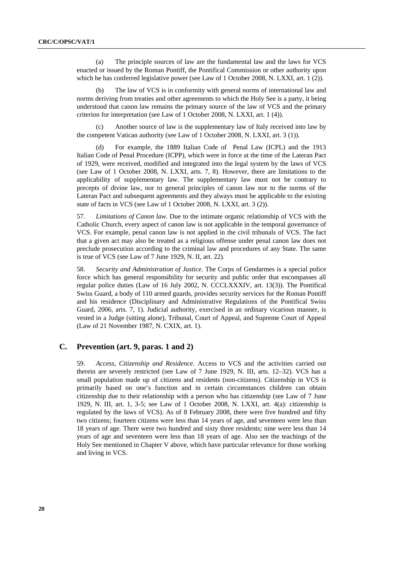(a) The principle sources of law are the fundamental law and the laws for VCS enacted or issued by the Roman Pontiff, the Pontifical Commission or other authority upon which he has conferred legislative power (see Law of 1 October 2008, N. LXXI, art. 1 (2)).

The law of VCS is in conformity with general norms of international law and norms deriving from treaties and other agreements to which the Holy See is a party, it being understood that canon law remains the primary source of the law of VCS and the primary criterion for interpretation (see Law of 1 October 2008, N. LXXI, art. 1 (4)).

(c) Another source of law is the supplementary law of Italy received into law by the competent Vatican authority (see Law of 1 October 2008, N. LXXI, art. 3 (1)).

(d) For example, the 1889 Italian Code of Penal Law (ICPL) and the 1913 Italian Code of Penal Procedure (ICPP), which were in force at the time of the Lateran Pact of 1929, were received, modified and integrated into the legal system by the laws of VCS (see Law of 1 October 2008, N. LXXI, arts. 7, 8). However, there are limitations to the applicability of supplementary law. The supplementary law must not be contrary to precepts of divine law, nor to general principles of canon law nor to the norms of the Lateran Pact and subsequent agreements and they always must be applicable to the existing state of facts in VCS (see Law of 1 October 2008, N. LXXI, art. 3 (2)).

57. *Limitations of Canon law*. Due to the intimate organic relationship of VCS with the Catholic Church, every aspect of canon law is not applicable in the temporal governance of VCS. For example, penal canon law is not applied in the civil tribunals of VCS. The fact that a given act may also be treated as a religious offense under penal canon law does not preclude prosecution according to the criminal law and procedures of any State. The same is true of VCS (see Law of 7 June 1929, N. II, art. 22).

58. *Security and Administration of Justice*. The Corps of Gendarmes is a special police force which has general responsibility for security and public order that encompasses all regular police duties (Law of 16 July 2002, N. CCCLXXXIV, art. 13(3)). The Pontifical Swiss Guard, a body of 110 armed guards, provides security services for the Roman Pontiff and his residence (Disciplinary and Administrative Regulations of the Pontifical Swiss Guard, 2006, arts. 7, 1). Judicial authority, exercised in an ordinary vicarious manner, is vested in a Judge (sitting alone), Tribunal, Court of Appeal, and Supreme Court of Appeal (Law of 21 November 1987, N. CXIX, art. 1).

### **C. Prevention (art. 9, paras. 1 and 2)**

59. *Access, Citizenship and Residence*. Access to VCS and the activities carried out therein are severely restricted (see Law of 7 June 1929, N. III, arts. 12–32). VCS has a small population made up of citizens and residents (non-citizens). Citizenship in VCS is primarily based on one's function and in certain circumstances children can obtain citizenship due to their relationship with a person who has citizenship (see Law of 7 June 1929, N. III, art. 1, 3-5; see Law of 1 October 2008, N. LXXI, art. 4(a): citizenship is regulated by the laws of VCS). As of 8 February 2008, there were five hundred and fifty two citizens; fourteen citizens were less than 14 years of age, and seventeen were less than 18 years of age. There were two hundred and sixty three residents; nine were less than 14 years of age and seventeen were less than 18 years of age. Also see the teachings of the Holy See mentioned in Chapter V above, which have particular relevance for those working and living in VCS.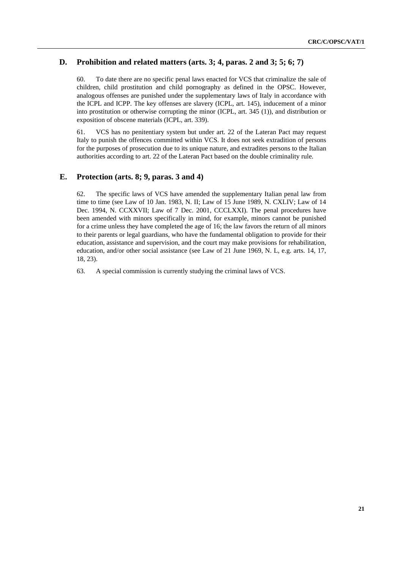### **D. Prohibition and related matters (arts. 3; 4, paras. 2 and 3; 5; 6; 7)**

60. To date there are no specific penal laws enacted for VCS that criminalize the sale of children, child prostitution and child pornography as defined in the OPSC. However, analogous offenses are punished under the supplementary laws of Italy in accordance with the ICPL and ICPP. The key offenses are slavery (ICPL, art. 145), inducement of a minor into prostitution or otherwise corrupting the minor (ICPL, art. 345 (1)), and distribution or exposition of obscene materials (ICPL, art. 339).

61. VCS has no penitentiary system but under art. 22 of the Lateran Pact may request Italy to punish the offences committed within VCS. It does not seek extradition of persons for the purposes of prosecution due to its unique nature, and extradites persons to the Italian authorities according to art. 22 of the Lateran Pact based on the double criminality rule.

### **E. Protection (arts. 8; 9, paras. 3 and 4)**

62. The specific laws of VCS have amended the supplementary Italian penal law from time to time (see Law of 10 Jan. 1983, N. II; Law of 15 June 1989, N. CXLIV; Law of 14 Dec. 1994, N. CCXXVII; Law of 7 Dec. 2001, CCCLXXI). The penal procedures have been amended with minors specifically in mind, for example, minors cannot be punished for a crime unless they have completed the age of 16; the law favors the return of all minors to their parents or legal guardians, who have the fundamental obligation to provide for their education, assistance and supervision, and the court may make provisions for rehabilitation, education, and/or other social assistance (see Law of 21 June 1969, N. L, e.g. arts. 14, 17, 18, 23).

63. A special commission is currently studying the criminal laws of VCS.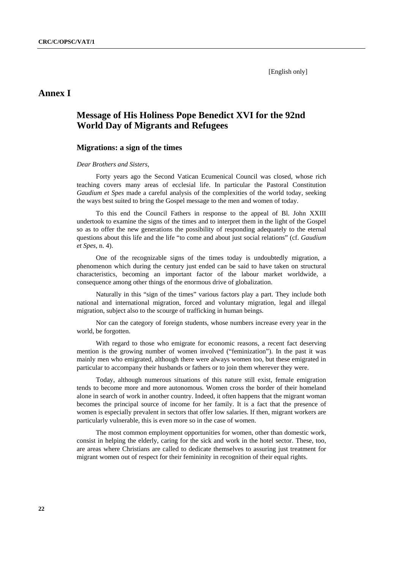[English only]

### **Annex I**

# **Message of His Holiness Pope Benedict XVI for the 92nd World Day of Migrants and Refugees**

#### **Migrations: a sign of the times**

#### *Dear Brothers and Sisters,*

 Forty years ago the Second Vatican Ecumenical Council was closed, whose rich teaching covers many areas of ecclesial life. In particular the Pastoral Constitution *Gaudium et Spes* made a careful analysis of the complexities of the world today, seeking the ways best suited to bring the Gospel message to the men and women of today.

 To this end the Council Fathers in response to the appeal of Bl. John XXIII undertook to examine the signs of the times and to interpret them in the light of the Gospel so as to offer the new generations the possibility of responding adequately to the eternal questions about this life and the life "to come and about just social relations" (cf. *Gaudium et Spes*, n. 4).

 One of the recognizable signs of the times today is undoubtedly migration, a phenomenon which during the century just ended can be said to have taken on structural characteristics, becoming an important factor of the labour market worldwide, a consequence among other things of the enormous drive of globalization.

 Naturally in this "sign of the times" various factors play a part. They include both national and international migration, forced and voluntary migration, legal and illegal migration, subject also to the scourge of trafficking in human beings.

 Nor can the category of foreign students, whose numbers increase every year in the world, be forgotten.

 With regard to those who emigrate for economic reasons, a recent fact deserving mention is the growing number of women involved ("feminization"). In the past it was mainly men who emigrated, although there were always women too, but these emigrated in particular to accompany their husbands or fathers or to join them wherever they were.

 Today, although numerous situations of this nature still exist, female emigration tends to become more and more autonomous. Women cross the border of their homeland alone in search of work in another country. Indeed, it often happens that the migrant woman becomes the principal source of income for her family. It is a fact that the presence of women is especially prevalent in sectors that offer low salaries. If then, migrant workers are particularly vulnerable, this is even more so in the case of women.

 The most common employment opportunities for women, other than domestic work, consist in helping the elderly, caring for the sick and work in the hotel sector. These, too, are areas where Christians are called to dedicate themselves to assuring just treatment for migrant women out of respect for their femininity in recognition of their equal rights.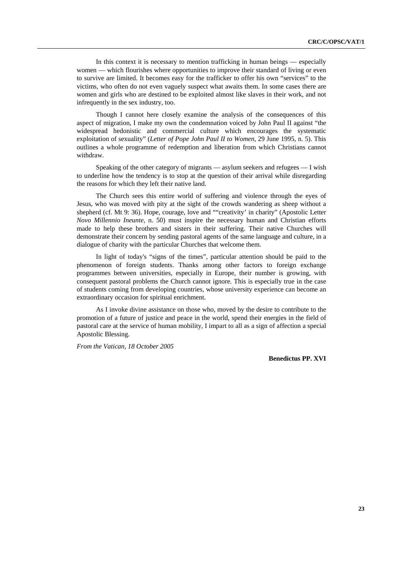In this context it is necessary to mention trafficking in human beings — especially women — which flourishes where opportunities to improve their standard of living or even to survive are limited. It becomes easy for the trafficker to offer his own "services" to the victims, who often do not even vaguely suspect what awaits them. In some cases there are women and girls who are destined to be exploited almost like slaves in their work, and not infrequently in the sex industry, too.

 Though I cannot here closely examine the analysis of the consequences of this aspect of migration, I make my own the condemnation voiced by John Paul II against "the widespread hedonistic and commercial culture which encourages the systematic exploitation of sexuality" (*Letter of Pope John Paul II to Women*, 29 June 1995, n. 5). This outlines a whole programme of redemption and liberation from which Christians cannot withdraw.

 Speaking of the other category of migrants — asylum seekers and refugees — I wish to underline how the tendency is to stop at the question of their arrival while disregarding the reasons for which they left their native land.

 The Church sees this entire world of suffering and violence through the eyes of Jesus, who was moved with pity at the sight of the crowds wandering as sheep without a shepherd (cf. Mt 9: 36). Hope, courage, love and ""creativity' in charity" (Apostolic Letter *Novo Millennio Ineunte*, n. 50) must inspire the necessary human and Christian efforts made to help these brothers and sisters in their suffering. Their native Churches will demonstrate their concern by sending pastoral agents of the same language and culture, in a dialogue of charity with the particular Churches that welcome them.

 In light of today's "signs of the times", particular attention should be paid to the phenomenon of foreign students. Thanks among other factors to foreign exchange programmes between universities, especially in Europe, their number is growing, with consequent pastoral problems the Church cannot ignore. This is especially true in the case of students coming from developing countries, whose university experience can become an extraordinary occasion for spiritual enrichment.

 As I invoke divine assistance on those who, moved by the desire to contribute to the promotion of a future of justice and peace in the world, spend their energies in the field of pastoral care at the service of human mobility, I impart to all as a sign of affection a special Apostolic Blessing.

*From the Vatican, 18 October 2005* 

**Benedictus PP. XVI**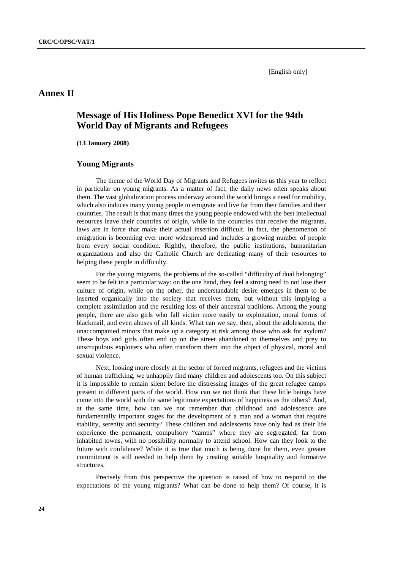[English only]

### **Annex II**

# **Message of His Holiness Pope Benedict XVI for the 94th World Day of Migrants and Refugees**

 **(13 January 2008)** 

#### **Young Migrants**

 The theme of the World Day of Migrants and Refugees invites us this year to reflect in particular on young migrants. As a matter of fact, the daily news often speaks about them. The vast globalization process underway around the world brings a need for mobility, which also induces many young people to emigrate and live far from their families and their countries. The result is that many times the young people endowed with the best intellectual resources leave their countries of origin, while in the countries that receive the migrants, laws are in force that make their actual insertion difficult. In fact, the phenomenon of emigration is becoming ever more widespread and includes a growing number of people from every social condition. Rightly, therefore, the public institutions, humanitarian organizations and also the Catholic Church are dedicating many of their resources to helping these people in difficulty.

 For the young migrants, the problems of the so-called "difficulty of dual belonging" seem to be felt in a particular way: on the one hand, they feel a strong need to not lose their culture of origin, while on the other, the understandable desire emerges in them to be inserted organically into the society that receives them, but without this implying a complete assimilation and the resulting loss of their ancestral traditions. Among the young people, there are also girls who fall victim more easily to exploitation, moral forms of blackmail, and even abuses of all kinds. What can we say, then, about the adolescents, the unaccompanied minors that make up a category at risk among those who ask for asylum? These boys and girls often end up on the street abandoned to themselves and prey to unscrupulous exploiters who often transform them into the object of physical, moral and sexual violence.

 Next, looking more closely at the sector of forced migrants, refugees and the victims of human trafficking, we unhappily find many children and adolescents too. On this subject it is impossible to remain silent before the distressing images of the great refugee camps present in different parts of the world. How can we not think that these little beings have come into the world with the same legitimate expectations of happiness as the others? And, at the same time, how can we not remember that childhood and adolescence are fundamentally important stages for the development of a man and a woman that require stability, serenity and security? These children and adolescents have only had as their life experience the permanent, compulsory "camps" where they are segregated, far from inhabited towns, with no possibility normally to attend school. How can they look to the future with confidence? While it is true that much is being done for them, even greater commitment is still needed to help them by creating suitable hospitality and formative structures.

 Precisely from this perspective the question is raised of how to respond to the expectations of the young migrants? What can be done to help them? Of course, it is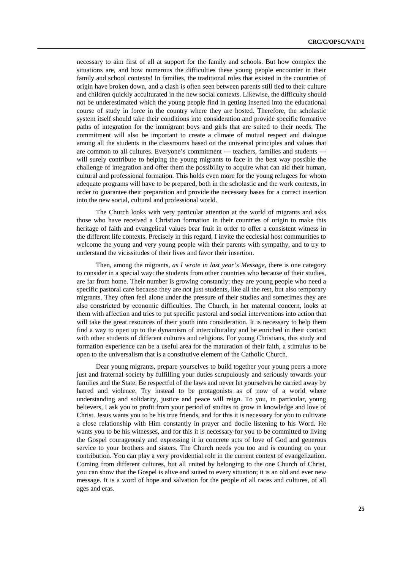necessary to aim first of all at support for the family and schools. But how complex the situations are, and how numerous the difficulties these young people encounter in their family and school contexts! In families, the traditional roles that existed in the countries of origin have broken down, and a clash is often seen between parents still tied to their culture and children quickly acculturated in the new social contexts. Likewise, the difficulty should not be underestimated which the young people find in getting inserted into the educational course of study in force in the country where they are hosted. Therefore, the scholastic system itself should take their conditions into consideration and provide specific formative paths of integration for the immigrant boys and girls that are suited to their needs. The commitment will also be important to create a climate of mutual respect and dialogue among all the students in the classrooms based on the universal principles and values that are common to all cultures. Everyone's commitment — teachers, families and students will surely contribute to helping the young migrants to face in the best way possible the challenge of integration and offer them the possibility to acquire what can aid their human, cultural and professional formation. This holds even more for the young refugees for whom adequate programs will have to be prepared, both in the scholastic and the work contexts, in order to guarantee their preparation and provide the necessary bases for a correct insertion into the new social, cultural and professional world.

 The Church looks with very particular attention at the world of migrants and asks those who have received a Christian formation in their countries of origin to make this heritage of faith and evangelical values bear fruit in order to offer a consistent witness in the different life contexts. Precisely in this regard, I invite the ecclesial host communities to welcome the young and very young people with their parents with sympathy, and to try to understand the vicissitudes of their lives and favor their insertion.

 Then, among the migrants, *as I wrote in last year's Message*, there is one category to consider in a special way: the students from other countries who because of their studies, are far from home. Their number is growing constantly: they are young people who need a specific pastoral care because they are not just students, like all the rest, but also temporary migrants. They often feel alone under the pressure of their studies and sometimes they are also constricted by economic difficulties. The Church, in her maternal concern, looks at them with affection and tries to put specific pastoral and social interventions into action that will take the great resources of their youth into consideration. It is necessary to help them find a way to open up to the dynamism of interculturality and be enriched in their contact with other students of different cultures and religions. For young Christians, this study and formation experience can be a useful area for the maturation of their faith, a stimulus to be open to the universalism that is a constitutive element of the Catholic Church.

 Dear young migrants, prepare yourselves to build together your young peers a more just and fraternal society by fulfilling your duties scrupulously and seriously towards your families and the State. Be respectful of the laws and never let yourselves be carried away by hatred and violence. Try instead to be protagonists as of now of a world where understanding and solidarity, justice and peace will reign. To you, in particular, young believers, I ask you to profit from your period of studies to grow in knowledge and love of Christ. Jesus wants you to be his true friends, and for this it is necessary for you to cultivate a close relationship with Him constantly in prayer and docile listening to his Word. He wants you to be his witnesses, and for this it is necessary for you to be committed to living the Gospel courageously and expressing it in concrete acts of love of God and generous service to your brothers and sisters. The Church needs you too and is counting on your contribution. You can play a very providential role in the current context of evangelization. Coming from different cultures, but all united by belonging to the one Church of Christ, you can show that the Gospel is alive and suited to every situation; it is an old and ever new message. It is a word of hope and salvation for the people of all races and cultures, of all ages and eras.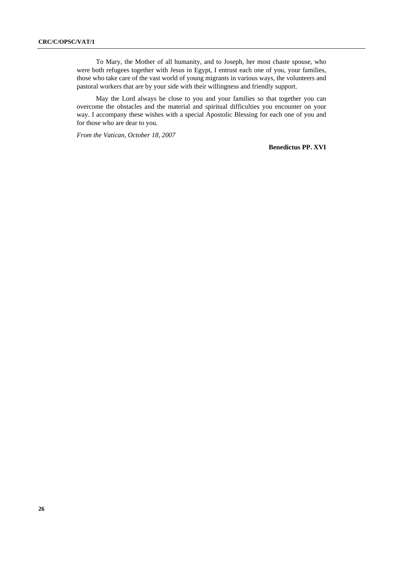To Mary, the Mother of all humanity, and to Joseph, her most chaste spouse, who were both refugees together with Jesus in Egypt, I entrust each one of you, your families, those who take care of the vast world of young migrants in various ways, the volunteers and pastoral workers that are by your side with their willingness and friendly support.

 May the Lord always be close to you and your families so that together you can overcome the obstacles and the material and spiritual difficulties you encounter on your way. I accompany these wishes with a special Apostolic Blessing for each one of you and for those who are dear to you.

*From the Vatican, October 18, 2007* 

**Benedictus PP. XVI**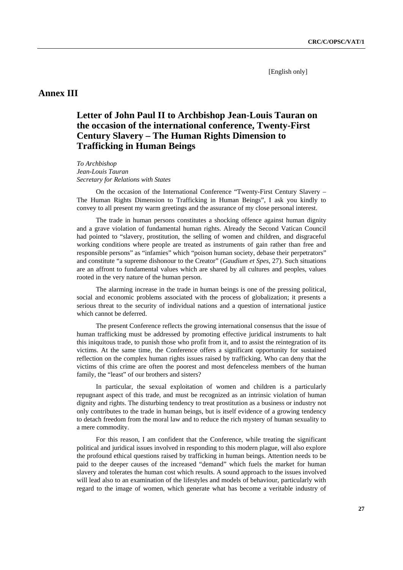[English only]

# **Annex III**

# **Letter of John Paul II to Archbishop Jean-Louis Tauran on the occasion of the international conference, Twenty-First Century Slavery – The Human Rights Dimension to Trafficking in Human Beings**

*To Archbishop Jean-Louis Tauran Secretary for Relations with States* 

 On the occasion of the International Conference "Twenty-First Century Slavery – The Human Rights Dimension to Trafficking in Human Beings", I ask you kindly to convey to all present my warm greetings and the assurance of my close personal interest.

 The trade in human persons constitutes a shocking offence against human dignity and a grave violation of fundamental human rights. Already the Second Vatican Council had pointed to "slavery, prostitution, the selling of women and children, and disgraceful working conditions where people are treated as instruments of gain rather than free and responsible persons" as "infamies" which "poison human society, debase their perpetrators" and constitute "a supreme dishonour to the Creator" (*Gaudium et Spes*, 27). Such situations are an affront to fundamental values which are shared by all cultures and peoples, values rooted in the very nature of the human person.

 The alarming increase in the trade in human beings is one of the pressing political, social and economic problems associated with the process of globalization; it presents a serious threat to the security of individual nations and a question of international justice which cannot be deferred.

 The present Conference reflects the growing international consensus that the issue of human trafficking must be addressed by promoting effective juridical instruments to halt this iniquitous trade, to punish those who profit from it, and to assist the reintegration of its victims. At the same time, the Conference offers a significant opportunity for sustained reflection on the complex human rights issues raised by trafficking. Who can deny that the victims of this crime are often the poorest and most defenceless members of the human family, the "least" of our brothers and sisters?

 In particular, the sexual exploitation of women and children is a particularly repugnant aspect of this trade, and must be recognized as an intrinsic violation of human dignity and rights. The disturbing tendency to treat prostitution as a business or industry not only contributes to the trade in human beings, but is itself evidence of a growing tendency to detach freedom from the moral law and to reduce the rich mystery of human sexuality to a mere commodity.

 For this reason, I am confident that the Conference, while treating the significant political and juridical issues involved in responding to this modern plague, will also explore the profound ethical questions raised by trafficking in human beings. Attention needs to be paid to the deeper causes of the increased "demand" which fuels the market for human slavery and tolerates the human cost which results. A sound approach to the issues involved will lead also to an examination of the lifestyles and models of behaviour, particularly with regard to the image of women, which generate what has become a veritable industry of